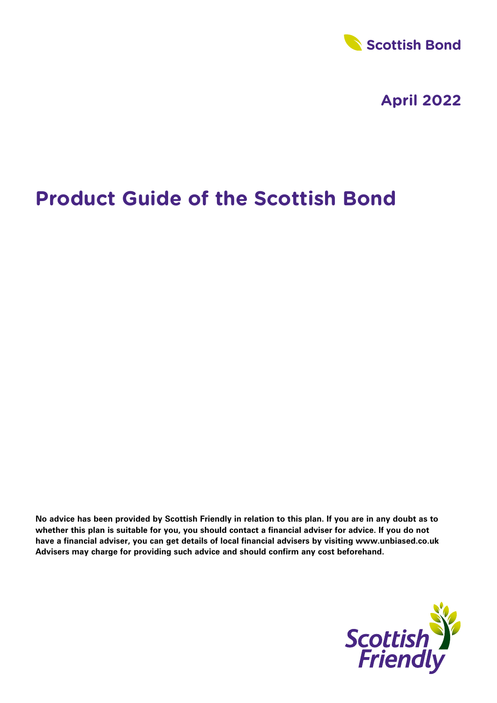

# **Product Guide of the Scottish Bond**

**No advice has been provided by Scottish Friendly in relation to this plan. If you are in any doubt as to whether this plan is suitable for you, you should contact a financial adviser for advice. If you do not have a financial adviser, you can get details of local financial advisers by visiting www.unbiased.co.uk Advisers may charge for providing such advice and should confirm any cost beforehand.**

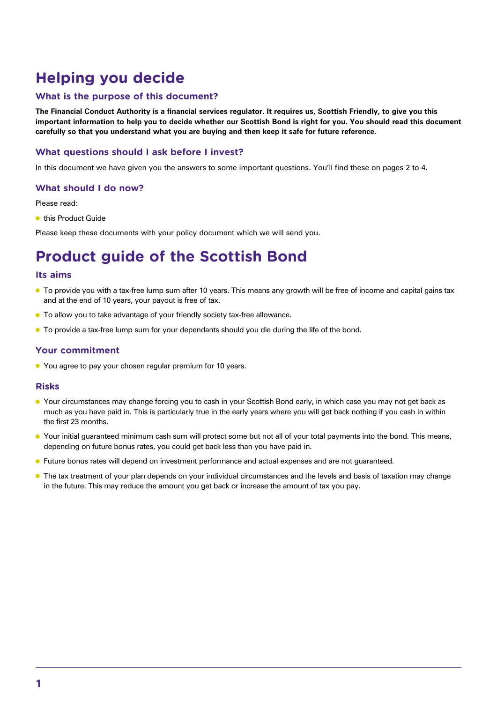## **Helping you decide**

## **What is the purpose of this document?**

**The Financial Conduct Authority is a financial services regulator. It requires us, Scottish Friendly, to give you this important information to help you to decide whether our Scottish Bond is right for you. You should read this document carefully so that you understand what you are buying and then keep it safe for future reference.**

## **What questions should I ask before I invest?**

In this document we have given you the answers to some important questions. You'll find these on pages 2 to 4.

#### **What should I do now?**

Please read:

**this Product Guide** 

Please keep these documents with your policy document which we will send you.

## **Product guide of the Scottish Bond**

#### **Its aims**

- To provide you with a tax-free lump sum after 10 years. This means any growth will be free of income and capital gains tax and at the end of 10 years, your payout is free of tax.
- To allow you to take advantage of your friendly society tax-free allowance.
- **•** To provide a tax-free lump sum for your dependants should you die during the life of the bond.

#### **Your commitment**

● You agree to pay your chosen regular premium for 10 years.

#### **Risks**

- Your circumstances may change forcing you to cash in your Scottish Bond early, in which case you may not get back as much as you have paid in. This is particularly true in the early years where you will get back nothing if you cash in within the first 23 months.
- Your initial guaranteed minimum cash sum will protect some but not all of your total payments into the bond. This means, depending on future bonus rates, you could get back less than you have paid in.
- **•** Future bonus rates will depend on investment performance and actual expenses and are not guaranteed.
- **The tax treatment of your plan depends on your individual circumstances and the levels and basis of taxation may change** in the future. This may reduce the amount you get back or increase the amount of tax you pay.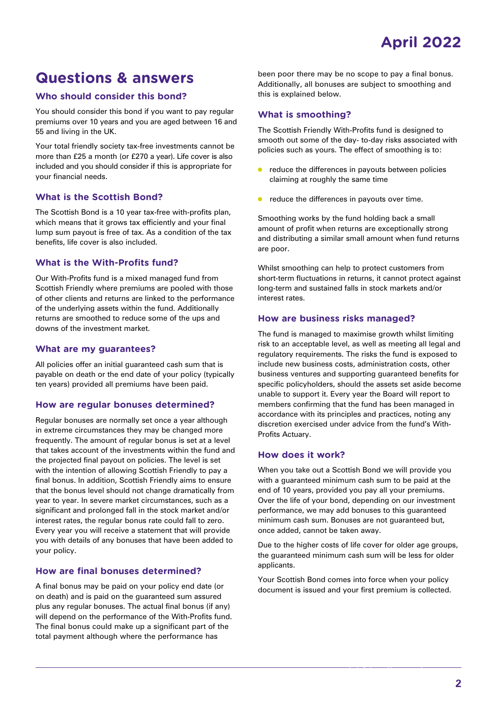## **Questions & answers**

## **Who should consider this bond?**

You should consider this bond if you want to pay regular premiums over 10 years and you are aged between 16 and 55 and living in the UK.

Your total friendly society tax-free investments cannot be more than £25 a month (or £270 a year). Life cover is also included and you should consider if this is appropriate for your financial needs.

## **What is the Scottish Bond?**

The Scottish Bond is a 10 year tax-free with-profits plan, which means that it grows tax efficiently and your final lump sum payout is free of tax. As a condition of the tax benefits, life cover is also included.

## **What is the With-Profits fund?**

Our With-Profits fund is a mixed managed fund from Scottish Friendly where premiums are pooled with those of other clients and returns are linked to the performance of the underlying assets within the fund. Additionally returns are smoothed to reduce some of the ups and downs of the investment market.

#### **What are my guarantees?**

All policies offer an initial guaranteed cash sum that is payable on death or the end date of your policy (typically ten years) provided all premiums have been paid.

#### **How are regular bonuses determined?**

Regular bonuses are normally set once a year although in extreme circumstances they may be changed more frequently. The amount of regular bonus is set at a level that takes account of the investments within the fund and the projected final payout on policies. The level is set with the intention of allowing Scottish Friendly to pay a final bonus. In addition, Scottish Friendly aims to ensure that the bonus level should not change dramatically from year to year. In severe market circumstances, such as a significant and prolonged fall in the stock market and/or interest rates, the regular bonus rate could fall to zero. Every year you will receive a statement that will provide you with details of any bonuses that have been added to your policy.

## **How are final bonuses determined?**

A final bonus may be paid on your policy end date (or on death) and is paid on the guaranteed sum assured plus any regular bonuses. The actual final bonus (if any) will depend on the performance of the With-Profits fund. The final bonus could make up a significant part of the total payment although where the performance has

been poor there may be no scope to pay a final bonus. Additionally, all bonuses are subject to smoothing and this is explained below.

#### **What is smoothing?**

The Scottish Friendly With-Profits fund is designed to smooth out some of the day- to-day risks associated with policies such as yours. The effect of smoothing is to:

- $\bullet$ reduce the differences in payouts between policies claiming at roughly the same time
- $\bullet$ reduce the differences in payouts over time.

Smoothing works by the fund holding back a small amount of profit when returns are exceptionally strong and distributing a similar small amount when fund returns are poor.

Whilst smoothing can help to protect customers from short-term fluctuations in returns, it cannot protect against long-term and sustained falls in stock markets and/or interest rates.

#### **How are business risks managed?**

The fund is managed to maximise growth whilst limiting risk to an acceptable level, as well as meeting all legal and regulatory requirements. The risks the fund is exposed to include new business costs, administration costs, other business ventures and supporting guaranteed benefits for specific policyholders, should the assets set aside become unable to support it. Every year the Board will report to members confirming that the fund has been managed in accordance with its principles and practices, noting any discretion exercised under advice from the fund's With-Profits Actuary.

#### **How does it work?**

When you take out a Scottish Bond we will provide you with a guaranteed minimum cash sum to be paid at the end of 10 years, provided you pay all your premiums. Over the life of your bond, depending on our investment performance, we may add bonuses to this guaranteed minimum cash sum. Bonuses are not guaranteed but, once added, cannot be taken away.

Due to the higher costs of life cover for older age groups, the guaranteed minimum cash sum will be less for older applicants.

Your Scottish Bond comes into force when your policy document is issued and your first premium is collected.

**www.scottishfriendly.co.uk 2**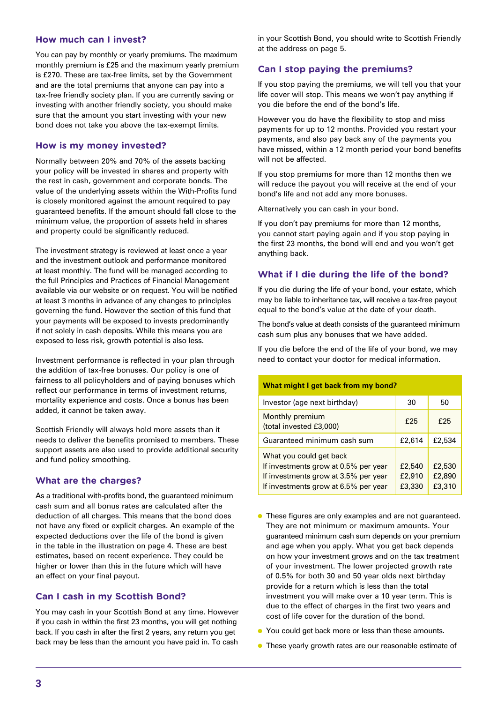#### **How much can I invest?**

You can pay by monthly or yearly premiums. The maximum monthly premium is £25 and the maximum yearly premium is £270. These are tax-free limits, set by the Government and are the total premiums that anyone can pay into a tax-free friendly society plan. If you are currently saving or investing with another friendly society, you should make sure that the amount you start investing with your new bond does not take you above the tax-exempt limits.

### **How is my money invested?**

Normally between 20% and 70% of the assets backing your policy will be invested in shares and property with the rest in cash, government and corporate bonds. The value of the underlying assets within the With-Profits fund is closely monitored against the amount required to pay guaranteed benefits. If the amount should fall close to the minimum value, the proportion of assets held in shares and property could be significantly reduced.

The investment strategy is reviewed at least once a year and the investment outlook and performance monitored at least monthly. The fund will be managed according to the full Principles and Practices of Financial Management available via our website or on request. You will be notified at least 3 months in advance of any changes to principles governing the fund. However the section of this fund that your payments will be exposed to invests predominantly if not solely in cash deposits. While this means you are exposed to less risk, growth potential is also less.

Investment performance is reflected in your plan through the addition of tax-free bonuses. Our policy is one of fairness to all policyholders and of paying bonuses which reflect our performance in terms of investment returns, mortality experience and costs. Once a bonus has been added, it cannot be taken away.

Scottish Friendly will always hold more assets than it needs to deliver the benefits promised to members. These support assets are also used to provide additional security and fund policy smoothing.

#### **What are the charges?**

As a traditional with-profits bond, the guaranteed minimum cash sum and all bonus rates are calculated after the deduction of all charges. This means that the bond does not have any fixed or explicit charges. An example of the expected deductions over the life of the bond is given in the table in the illustration on page 4. These are best estimates, based on recent experience. They could be higher or lower than this in the future which will have an effect on your final payout.

#### **Can I cash in my Scottish Bond?**

You may cash in your Scottish Bond at any time. However if you cash in within the first 23 months, you will get nothing back. If you cash in after the first 2 years, any return you get back may be less than the amount you have paid in. To cash

in your Scottish Bond, you should write to Scottish Friendly at the address on page 5.

#### **Can I stop paying the premiums?**

If you stop paying the premiums, we will tell you that your life cover will stop. This means we won't pay anything if you die before the end of the bond's life.

However you do have the flexibility to stop and miss payments for up to 12 months. Provided you restart your payments, and also pay back any of the payments you have missed, within a 12 month period your bond benefits will not be affected.

If you stop premiums for more than 12 months then we will reduce the payout you will receive at the end of your bond's life and not add any more bonuses.

Alternatively you can cash in your bond.

If you don't pay premiums for more than 12 months, you cannot start paying again and if you stop paying in the first 23 months, the bond will end and you won't get anything back.

### **What if I die during the life of the bond?**

If you die during the life of your bond, your estate, which may be liable to inheritance tax, will receive a tax-free payout equal to the bond's value at the date of your death.

The bond's value at death consists of the guaranteed minimum cash sum plus any bonuses that we have added.

If you die before the end of the life of your bond, we may need to contact your doctor for medical information.

| What might I get back from my bond?                                                                                                             |                            |                            |  |  |  |
|-------------------------------------------------------------------------------------------------------------------------------------------------|----------------------------|----------------------------|--|--|--|
| Investor (age next birthday)                                                                                                                    | 30                         | 50                         |  |  |  |
| Monthly premium<br>(total invested £3,000)                                                                                                      | f25                        | £25                        |  |  |  |
| Guaranteed minimum cash sum                                                                                                                     | £2,614                     | £2,534                     |  |  |  |
| What you could get back<br>If investments grow at 0.5% per year<br>If investments grow at 3.5% per year<br>If investments grow at 6.5% per year | £2,540<br>£2,910<br>£3,330 | £2,530<br>£2,890<br>£3,310 |  |  |  |

- **•** These figures are only examples and are not guaranteed. They are not minimum or maximum amounts. Your guaranteed minimum cash sum depends on your premium and age when you apply. What you get back depends on how your investment grows and on the tax treatment of your investment. The lower projected growth rate of 0.5% for both 30 and 50 year olds next birthday provide for a return which is less than the total investment you will make over a 10 year term. This is due to the effect of charges in the first two years and cost of life cover for the duration of the bond.
- You could get back more or less than these amounts.
- These yearly growth rates are our reasonable estimate of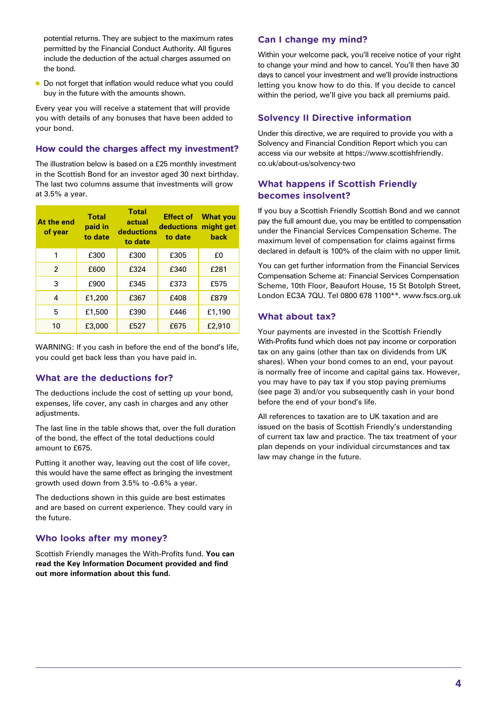potential returns. They are subject to the maximum rates permitted by the Financial Conduct Authority. All figures include the deduction of the actual charges assumed on the bond.

● Do not forget that inflation would reduce what you could buy in the future with the amounts shown.

Every year you will receive a statement that will provide you with details of any bonuses that have been added to your bond.

#### **How could the charges affect my investment?**

The illustration below is based on a £25 monthly investment in the Scottish Bond for an investor aged 30 next birthday. The last two columns assume that investments will grow at 3.5% a year.

| At the end<br>of year | <b>Total</b><br>paid in<br>to date | <b>Total</b><br>actual<br>deductions<br>to date | <b>Effect of</b><br>deductions might get<br>to date | <b>What you</b><br>back |
|-----------------------|------------------------------------|-------------------------------------------------|-----------------------------------------------------|-------------------------|
| 1                     | £300                               | £300                                            | £305                                                | £0                      |
| $\overline{2}$        | £600                               | £324                                            | £340                                                | £281                    |
| 3                     | £900                               | £345                                            | £373                                                | £575                    |
| 4                     | £1,200                             | £367                                            | £408                                                | £879                    |
| 5                     | £1,500                             | £390                                            | £446                                                | £1,190                  |
| 10                    | £3,000                             | £527                                            | £675                                                | £2,910                  |

WARNING: If you cash in before the end of the bond's life, you could get back less than you have paid in.

## **What are the deductions for?**

The deductions include the cost of setting up your bond, expenses, life cover, any cash in charges and any other adjustments.

The last line in the table shows that, over the full duration of the bond, the effect of the total deductions could amount to £675.

Putting it another way, leaving out the cost of life cover, this would have the same effect as bringing the investment growth used down from 3.5% to -0.6% a year.

The deductions shown in this guide are best estimates and are based on current experience. They could vary in the future.

## **Who looks after my money?**

Scottish Friendly manages the With-Profits fund. **You can read the Key Information Document provided and find out more information about this fund.**

## **Can I change my mind?**

Within your welcome pack, you'll receive notice of your right to change your mind and how to cancel. You'll then have 30 days to cancel your investment and we'll provide instructions letting you know how to do this. If you decide to cancel within the period, we'll give you back all premiums paid.

### **Solvency II Directive information**

Under this directive, we are required to provide you with a Solvency and Financial Condition Report which you can access via our website at https://www.scottishfriendly. co.uk/about-us/solvency-two

## **What happens if Scottish Friendly becomes insolvent?**

If you buy a Scottish Friendly Scottish Bond and we cannot pay the full amount due, you may be entitled to compensation under the Financial Services Compensation Scheme. The maximum level of compensation for claims against firms declared in default is 100% of the claim with no upper limit.

You can get further information from the Financial Services Compensation Scheme at: Financial Services Compensation Scheme, 10th Floor, Beaufort House, 15 St Botolph Street, London EC3A 7QU. Tel 0800 678 1100\*\*. www.fscs.org.uk

## **What about tax?**

Your payments are invested in the Scottish Friendly With-Profits fund which does not pay income or corporation tax on any gains (other than tax on dividends from UK shares). When your bond comes to an end, your payout is normally free of income and capital gains tax. However, you may have to pay tax if you stop paying premiums (see page 3) and/or you subsequently cash in your bond before the end of your bond's life.

All references to taxation are to UK taxation and are issued on the basis of Scottish Friendly's understanding of current tax law and practice. The tax treatment of your plan depends on your individual circumstances and tax law may change in the future.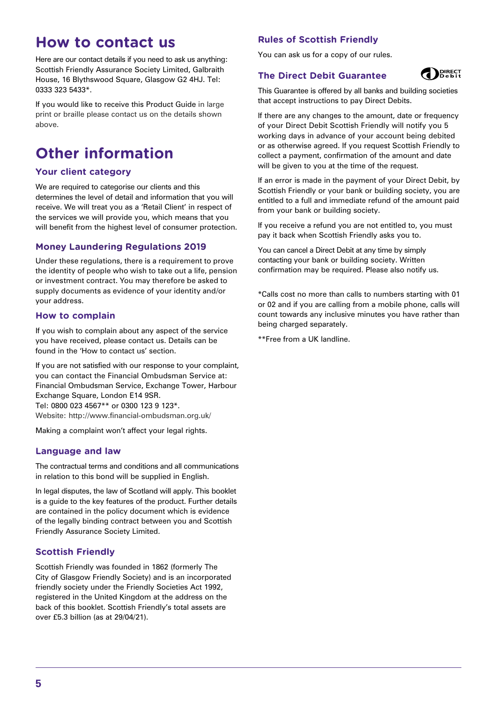## **How to contact us**

Here are our contact details if you need to ask us anything: Scottish Friendly Assurance Society Limited, Galbraith House, 16 Blythswood Square, Glasgow G2 4HJ. Tel: 0333 323 5433\*.

If you would like to receive this Product Guide in large print or braille please contact us on the details shown above.

## **Other information**

## **Your client category**

We are required to categorise our clients and this determines the level of detail and information that you will receive. We will treat you as a 'Retail Client' in respect of the services we will provide you, which means that you will benefit from the highest level of consumer protection.

## **Money Laundering Regulations 2019**

Under these regulations, there is a requirement to prove the identity of people who wish to take out a life, pension or investment contract. You may therefore be asked to supply documents as evidence of your identity and/or your address.

### **How to complain**

If you wish to complain about any aspect of the service you have received, please contact us. Details can be found in the 'How to contact us' section.

If you are not satisfied with our response to your complaint, you can contact the Financial Ombudsman Service at: Financial Ombudsman Service, Exchange Tower, Harbour Exchange Square, London E14 9SR. Tel: 0800 023 4567\*\* or 0300 123 9 123\*. Website: http://www.financial-ombudsman.org.uk/

Making a complaint won't affect your legal rights.

#### **Language and law**

The contractual terms and conditions and all communications in relation to this bond will be supplied in English.

In legal disputes, the law of Scotland will apply. This booklet is a guide to the key features of the product. Further details are contained in the policy document which is evidence of the legally binding contract between you and Scottish Friendly Assurance Society Limited.

## **Scottish Friendly**

Scottish Friendly was founded in 1862 (formerly The City of Glasgow Friendly Society) and is an incorporated friendly society under the Friendly Societies Act 1992, registered in the United Kingdom at the address on the back of this booklet. Scottish Friendly's total assets are over £5.3 billion (as at 29/04/21).

## **Rules of Scottish Friendly**

You can ask us for a copy of our rules.

## **The Direct Debit Guarantee**



This Guarantee is offered by all banks and building societies that accept instructions to pay Direct Debits.

If there are any changes to the amount, date or frequency of your Direct Debit Scottish Friendly will notify you 5 working days in advance of your account being debited or as otherwise agreed. If you request Scottish Friendly to collect a payment, confirmation of the amount and date will be given to you at the time of the request.

If an error is made in the payment of your Direct Debit, by Scottish Friendly or your bank or building society, you are entitled to a full and immediate refund of the amount paid from your bank or building society.

If you receive a refund you are not entitled to, you must pay it back when Scottish Friendly asks you to.

You can cancel a Direct Debit at any time by simply contacting your bank or building society. Written confirmation may be required. Please also notify us.

\*Calls cost no more than calls to numbers starting with 01 or 02 and if you are calling from a mobile phone, calls will count towards any inclusive minutes you have rather than being charged separately.

\*\*Free from a UK landline.